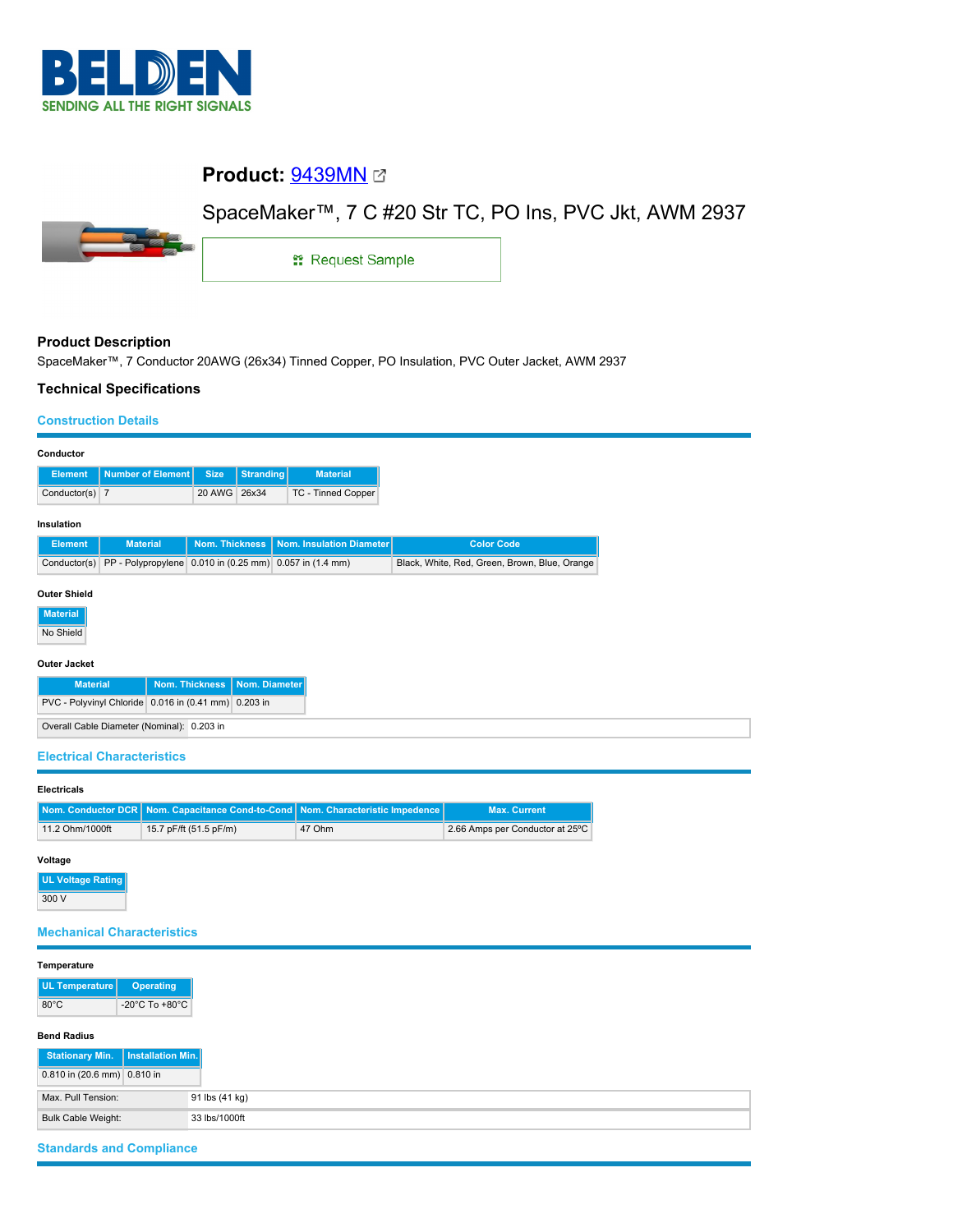

## **Product:** [9439MN](https://catalog.belden.com/index.cfm?event=pd&p=PF_9439MN&tab=downloads)

# SpaceMaker™, 7 C #20 Str TC, PO Ins, PVC Jkt, AWM 2937



1: Request Sample

#### **Product Description**

SpaceMaker™, 7 Conductor 20AWG (26x34) Tinned Copper, PO Insulation, PVC Outer Jacket, AWM 2937

#### **Technical Specifications**

#### **Construction Details**

| Conductor                                                                        |                                                         |                       |                  |                          |                                               |  |  |
|----------------------------------------------------------------------------------|---------------------------------------------------------|-----------------------|------------------|--------------------------|-----------------------------------------------|--|--|
| <b>Element</b>                                                                   | <b>Number of Element</b>                                | <b>Size</b>           | <b>Stranding</b> | <b>Material</b>          |                                               |  |  |
| Conductor(s) 7                                                                   |                                                         | 20 AWG                | 26x34            | TC - Tinned Copper       |                                               |  |  |
| Insulation                                                                       |                                                         |                       |                  |                          |                                               |  |  |
| <b>Element</b>                                                                   | <b>Material</b>                                         | <b>Nom. Thickness</b> |                  | Nom. Insulation Diameter | <b>Color Code</b>                             |  |  |
| Conductor(s)                                                                     | PP - Polypropylene 0.010 in (0.25 mm) 0.057 in (1.4 mm) |                       |                  |                          | Black, White, Red, Green, Brown, Blue, Orange |  |  |
| <b>Outer Shield</b><br><b>Material</b><br>No Shield                              |                                                         |                       |                  |                          |                                               |  |  |
| <b>Outer Jacket</b><br><b>Nom. Thickness</b><br>Nom. Diameter<br><b>Material</b> |                                                         |                       |                  |                          |                                               |  |  |
| PVC - Polyvinyl Chloride 0.016 in (0.41 mm) 0.203 in                             |                                                         |                       |                  |                          |                                               |  |  |
| Overall Cable Diameter (Nominal): 0.203 in                                       |                                                         |                       |                  |                          |                                               |  |  |

#### **Electrical Characteristics**

### **Electricals**

|                 | Nom. Conductor DCR Nom. Capacitance Cond-to-Cond Nom. Characteristic Impedence |        | <b>Max. Current</b>             |
|-----------------|--------------------------------------------------------------------------------|--------|---------------------------------|
| 11.2 Ohm/1000ft | 15.7 pF/ft (51.5 pF/m)                                                         | 47 Ohm | 2.66 Amps per Conductor at 25°C |

#### **Voltage**

**UL Voltage Rating** 300 V

#### **Mechanical Characteristics**

#### **Temperature**

| UL Temperature | Operating                          |
|----------------|------------------------------------|
| $80^{\circ}$ C | $-20^{\circ}$ C To $+80^{\circ}$ C |

#### **Bend Radius**

| Stationary Min.   Installation Min. |                |
|-------------------------------------|----------------|
| 0.810 in (20.6 mm) 0.810 in         |                |
| Max. Pull Tension:                  | 91 lbs (41 kg) |
| Bulk Cable Weight:                  | 33 lbs/1000ft  |

## **Standards and Compliance**